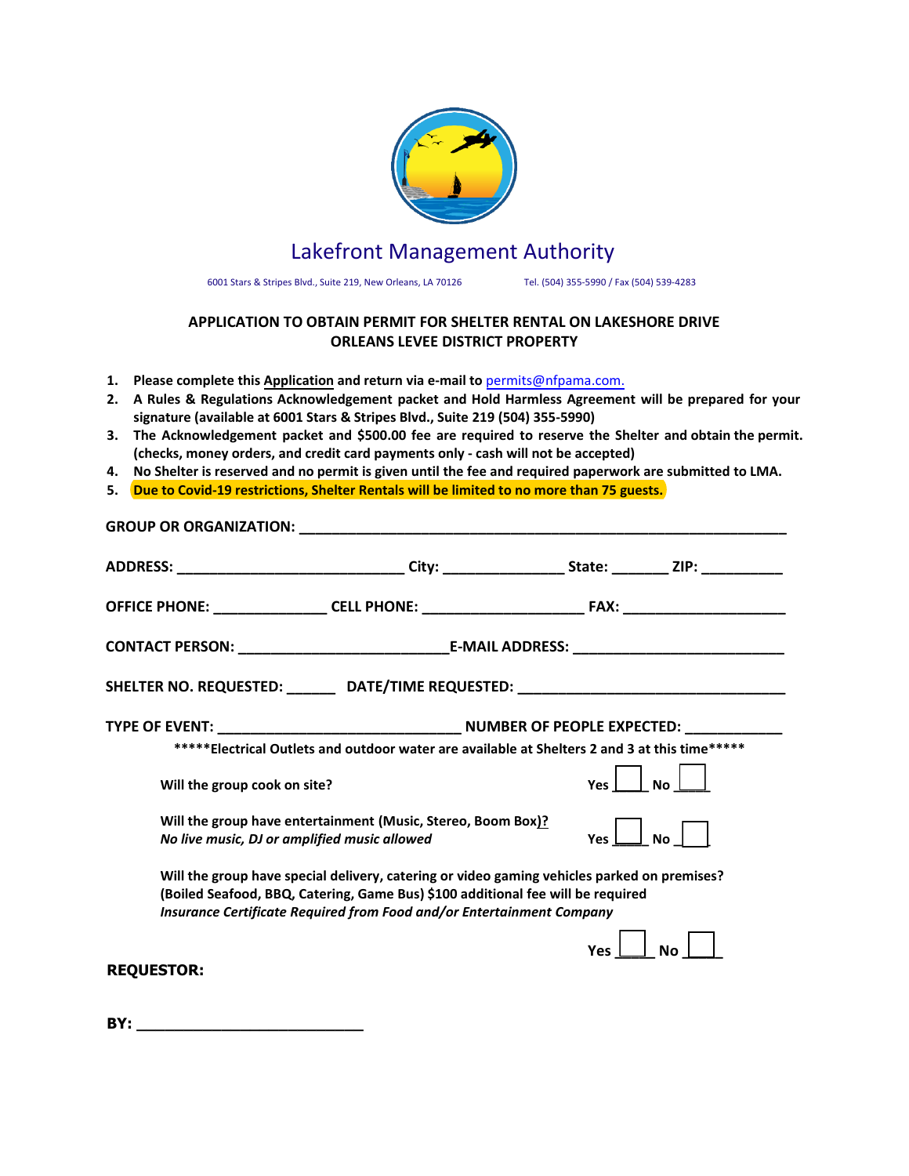

# Lakefront Management Authority

6001 Stars & Stripes Blvd., Suite 219, New Orleans, LA 70126 Tel. (504) 293-2470/ Fax (504) 539-4283

# **APPLICATION TO OBTAIN PERMIT FOR SHELTER RENTAL ON LAKESHORE DRIVE ORLEANS LEVEE DISTRICT PROPERTY**

- **1. Please complete this Application and return via e-mail to** permits@nfpama.com.
- **2. A Rules & Regulations Acknowledgement packet and Hold Harmless Agreement will be prepared for your signature (available at 6001 Stars & Stripes Blvd., Suite 219 (504) 293-2470)**
- **3. The Acknowledgement packet and \$500.00 fee are required to reserve the Shelter and obtain the permit. (checks, money orders, and credit card payments only - cash will not be accepted)**
- **4. No Shelter is reserved and no permit is given until the fee and required paperwork are submitted to LMA.**
- **5. Due to Covid-19 restrictions, Shelter Rentals will be limited to current City of New Orleans guidelines.**

|                                                                                                                                                                                                                                                         | ADDRESS: __________________________________City: _____________________State: ___________ZIP: ____________ |            |           |  |  |  |  |  |
|---------------------------------------------------------------------------------------------------------------------------------------------------------------------------------------------------------------------------------------------------------|-----------------------------------------------------------------------------------------------------------|------------|-----------|--|--|--|--|--|
|                                                                                                                                                                                                                                                         |                                                                                                           |            |           |  |  |  |  |  |
|                                                                                                                                                                                                                                                         |                                                                                                           |            |           |  |  |  |  |  |
|                                                                                                                                                                                                                                                         | SHELTER NO. REQUESTED: ________ DATE/TIME REQUESTED: ___________________________                          |            |           |  |  |  |  |  |
|                                                                                                                                                                                                                                                         |                                                                                                           |            |           |  |  |  |  |  |
|                                                                                                                                                                                                                                                         | ***** Electrical Outlets and outdoor water are available at Shelters 2 and 3 at this time*****            |            |           |  |  |  |  |  |
| Will the group cook on site?                                                                                                                                                                                                                            |                                                                                                           | <b>Yes</b> | <b>No</b> |  |  |  |  |  |
| Will the group have entertainment (Music, Stereo, Boom Box)?<br>No live music, DJ or amplified music allowed                                                                                                                                            |                                                                                                           |            |           |  |  |  |  |  |
| Will the group have special delivery, catering or video gaming vehicles parked on premises?<br>(Boiled Seafood, BBQ, Catering, Game Bus) \$100 additional fee will be required<br>Insurance Certificate Required from Food and/or Entertainment Company |                                                                                                           |            |           |  |  |  |  |  |
| <b>REQUESTOR:</b>                                                                                                                                                                                                                                       |                                                                                                           | <b>Yes</b> |           |  |  |  |  |  |

| BY: | - |  |  |  |  |
|-----|---|--|--|--|--|
|     |   |  |  |  |  |
|     |   |  |  |  |  |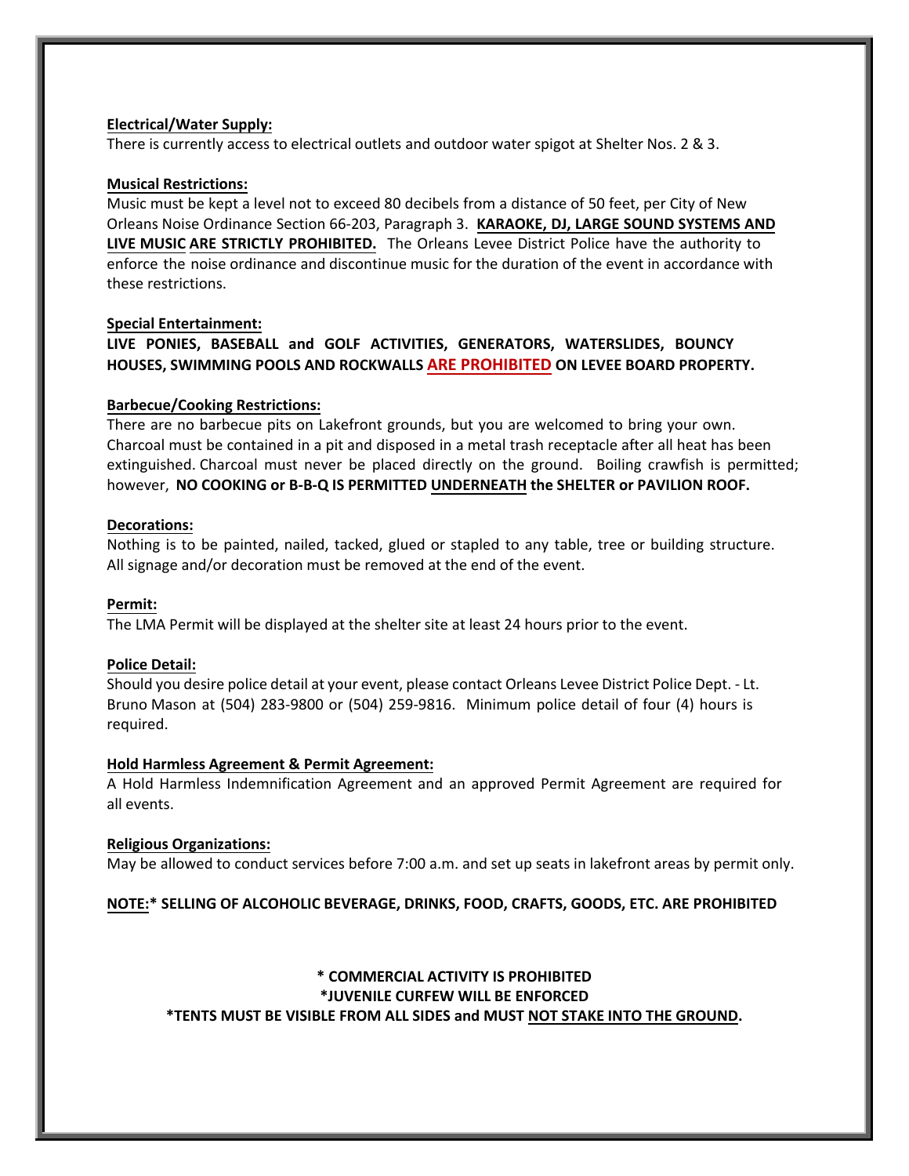## **Electrical/Water Supply:**

There is currently access to electrical outlets and outdoor water spigot at Shelter Nos. 2 & 3.

## **Musical Restrictions:**

Music must be kept a level not to exceed 80 decibels from a distance of 50 feet, per City of New Orleans Noise Ordinance Section 66-203, Paragraph 3. **KARAOKE, DJ, LARGE SOUND SYSTEMS AND LIVE MUSIC ARE STRICTLY PROHIBITED.** The Orleans Levee District Police have the authority to enforce the noise ordinance and discontinue music for the duration of the event in accordance with these restrictions.

#### **Special Entertainment:**

**LIVE PONIES, BASEBALL and GOLF ACTIVITIES, GENERATORS, WATERSLIDES, BOUNCY HOUSES, SWIMMING POOLS AND ROCKWALLS ARE PROHIBITED ON LEVEE BOARD PROPERTY.** 

#### **Barbecue/Cooking Restrictions:**

There are no barbecue pits on Lakefront grounds, but you are welcomed to bring your own. Charcoal must be contained in a pit and disposed in a metal trash receptacle after all heat has been extinguished. Charcoal must never be placed directly on the ground. Boiling crawfish is permitted; however, **NO COOKING or B-B-Q IS PERMITTED UNDERNEATH the SHELTER or PAVILION ROOF.** 

#### **Decorations:**

Nothing is to be painted, nailed, tacked, glued or stapled to any table, tree or building structure. All signage and/or decoration must be removed at the end of the event.

## **Permit:**

The LMA Permit will be displayed at the shelter site at least 24 hours prior to the event.

## **Police Detail:**

Should you desire police detail at your event, please contact Orleans Levee District Police Dept. - Lt. Bruno Mason at (504) 283-9800 or (504) 259-9816. Minimum police detail of four (4) hours is required.

## **Hold Harmless Agreement & Permit Agreement:**

A Hold Harmless Indemnification Agreement and an approved Permit Agreement are required for all events.

#### **Religious Organizations:**

May be allowed to conduct services before 7:00 a.m. and set up seats in lakefront areas by permit only.

## **NOTE:\* SELLING OF ALCOHOLIC BEVERAGE, DRINKS, FOOD, CRAFTS, GOODS, ETC. ARE PROHIBITED**

## **\* COMMERCIAL ACTIVITY IS PROHIBITED \*JUVENILE CURFEW WILL BE ENFORCED \*TENTS MUST BE VISIBLE FROM ALL SIDES and MUST NOT STAKE INTO THE GROUND.**